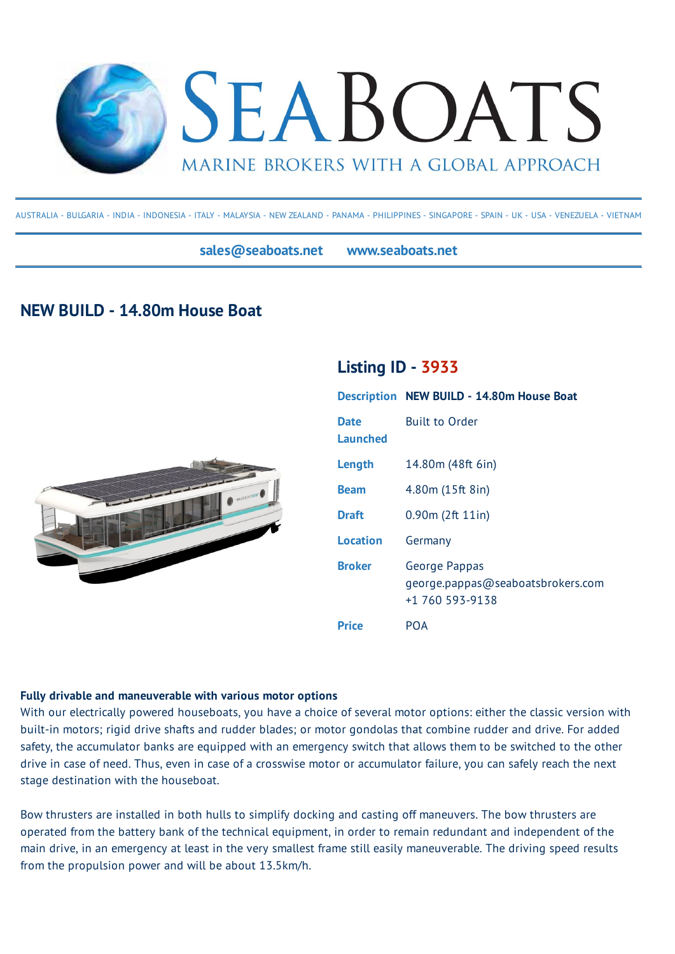

AUSTRALIA - BULGARIA - INDIA - INDONESIA - ITALY - MALAYSIA - NEW ZEALAND - PANAMA - PHILIPPINES - SINGAPORE - SPAIN - UK - USA - VENEZUELA - VIETNAM

**sales@seaboats.net www.seaboats.net**

# **NEW BUILD - 14.80m House Boat**



# **Listing ID - 3933**

#### **Description NEW BUILD - 14.80m House Boat**

| Date<br>Launched | <b>Built to Order</b>                                                 |
|------------------|-----------------------------------------------------------------------|
| Length           | 14.80m (48ft 6in)                                                     |
| <b>Beam</b>      | 4.80m (15ft 8in)                                                      |
| Draft            | $0.90m$ (2ft 11in)                                                    |
| <b>Location</b>  | Germany                                                               |
| <b>Broker</b>    | George Pappas<br>george.pappas@seaboatsbrokers.com<br>+1 760 593-9138 |
| Price            | PUA                                                                   |

### **Fully drivable and maneuverable with various motor options**

With our electrically powered houseboats, you have a choice of several motor options: either the classic version with built-in motors; rigid drive shafts and rudder blades; or motor gondolas that combine rudder and drive. For added safety, the accumulator banks are equipped with an emergency switch that allows them to be switched to the other drive in case of need. Thus, even in case of a crosswise motor or accumulator failure, you can safely reach the next stage destination with the houseboat.

Bow thrusters are installed in both hulls to simplify docking and casting off maneuvers. The bow thrusters are operated from the battery bank of the technical equipment, in order to remain redundant and independent of the main drive, in an emergency at least in the very smallest frame still easily maneuverable. The driving speed results from the propulsion power and will be about 13.5km/h.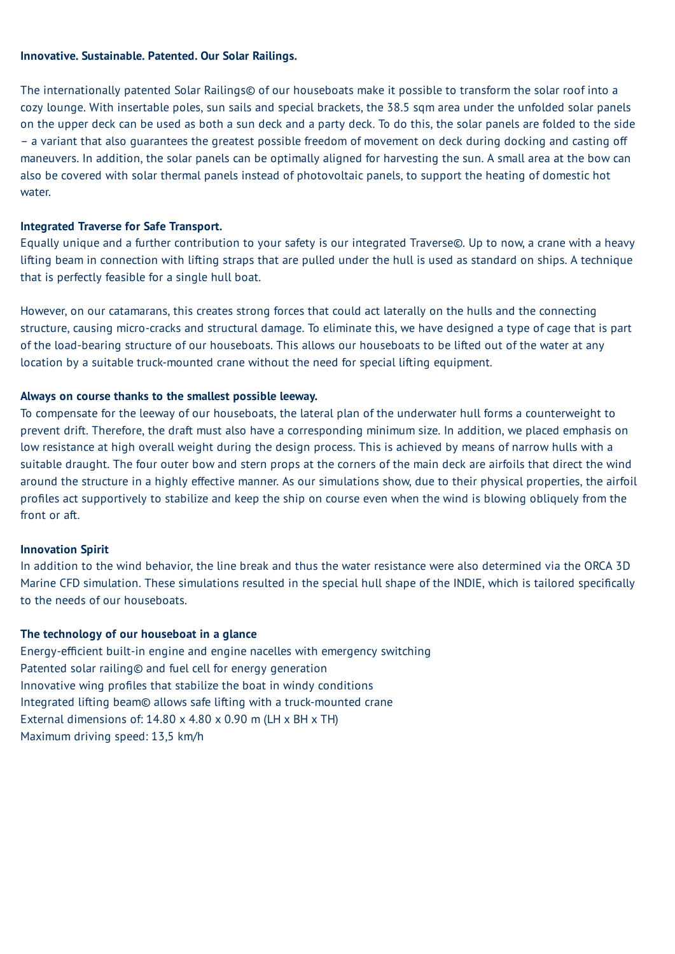## **Innovative. Sustainable. Patented. Our Solar Railings.**

The internationally patented Solar Railings© of our houseboats make it possible to transform the solar roof into a cozy lounge. With insertable poles, sun sails and special brackets, the 38.5 sqm area under the unfolded solar panels on the upper deck can be used as both a sun deck and a party deck. To do this, the solar panels are folded to the side – a variant that also guarantees the greatest possible freedom of movement on deck during docking and casting off maneuvers. In addition, the solar panels can be optimally aligned for harvesting the sun. A small area at the bow can also be covered with solar thermal panels instead of photovoltaic panels, to support the heating of domestic hot water.

## **Integrated Traverse for Safe Transport.**

Equally unique and a further contribution to your safety is our integrated Traverse©. Up to now, a crane with a heavy lifting beam in connection with lifting straps that are pulled under the hull is used as standard on ships. A technique that is perfectly feasible for a single hull boat.

However, on our catamarans, this creates strong forces that could act laterally on the hulls and the connecting structure, causing micro-cracks and structural damage. To eliminate this, we have designed a type of cage that is part of the load-bearing structure of our houseboats. This allows our houseboats to be lifted out of the water at any location by a suitable truck-mounted crane without the need for special lifting equipment.

## **Always on course thanks to the smallest possible leeway.**

To compensate for the leeway of our houseboats, the lateral plan of the underwater hull forms a counterweight to prevent drift. Therefore, the draft must also have a corresponding minimum size. In addition, we placed emphasis on low resistance at high overall weight during the design process. This is achieved by means of narrow hulls with a suitable draught. The four outer bow and stern props at the corners of the main deck are airfoils that direct the wind around the structure in a highly effective manner. As our simulations show, due to their physical properties, the airfoil profiles act supportively to stabilize and keep the ship on course even when the wind is blowing obliquely from the front or aft.

### **Innovation Spirit**

In addition to the wind behavior, the line break and thus the water resistance were also determined via the ORCA 3D Marine CFD simulation. These simulations resulted in the special hull shape of the INDIE, which is tailored specifically to the needs of our houseboats.

### **The technology of our houseboat in a glance**

Energy-efficient built-in engine and engine nacelles with emergency switching Patented solar railing© and fuel cell for energy generation Innovative wing profiles that stabilize the boat in windy conditions Integrated lifting beam© allows safe lifting with a truck-mounted crane External dimensions of: 14.80 x 4.80 x 0.90 m (LH x BH x TH) Maximum driving speed: 13,5 km/h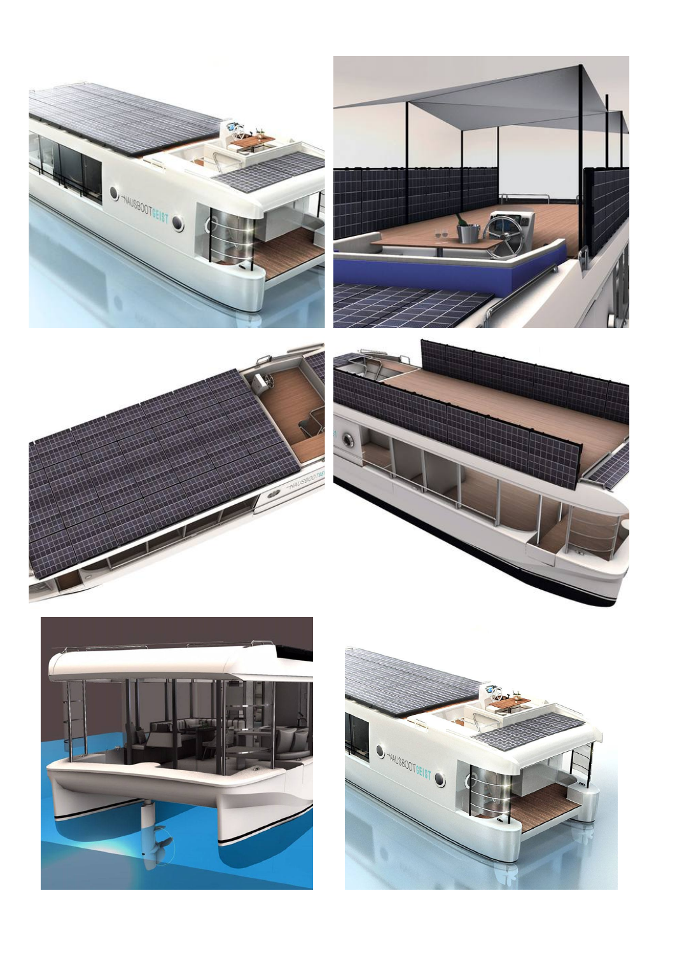